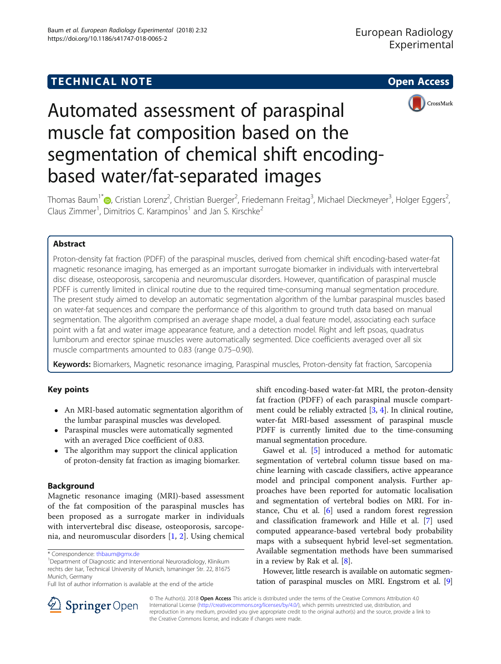

# Automated assessment of paraspinal muscle fat composition based on the segmentation of chemical shift encodingbased water/fat-separated images

Thomas Baum<sup>1[\\*](http://orcid.org/0000-0002-4574-5212)</sup>®, Cristian Lorenz<sup>2</sup>, Christian Buerger<sup>2</sup>, Friedemann Freitag<sup>3</sup>, Michael Dieckmeyer<sup>3</sup>, Holger Eggers<sup>2</sup> , Claus Zimmer<sup>1</sup>, Dimitrios C. Karampinos<sup>1</sup> and Jan S. Kirschke<sup>2</sup>

# Abstract

Proton-density fat fraction (PDFF) of the paraspinal muscles, derived from chemical shift encoding-based water-fat magnetic resonance imaging, has emerged as an important surrogate biomarker in individuals with intervertebral disc disease, osteoporosis, sarcopenia and neuromuscular disorders. However, quantification of paraspinal muscle PDFF is currently limited in clinical routine due to the required time-consuming manual segmentation procedure. The present study aimed to develop an automatic segmentation algorithm of the lumbar paraspinal muscles based on water-fat sequences and compare the performance of this algorithm to ground truth data based on manual segmentation. The algorithm comprised an average shape model, a dual feature model, associating each surface point with a fat and water image appearance feature, and a detection model. Right and left psoas, quadratus lumborum and erector spinae muscles were automatically segmented. Dice coefficients averaged over all six muscle compartments amounted to 0.83 (range 0.75–0.90).

Keywords: Biomarkers, Magnetic resonance imaging, Paraspinal muscles, Proton-density fat fraction, Sarcopenia

# Key points

- An MRI-based automatic segmentation algorithm of the lumbar paraspinal muscles was developed.
- Paraspinal muscles were automatically segmented with an averaged Dice coefficient of 0.83.
- The algorithm may support the clinical application of proton-density fat fraction as imaging biomarker.

# Background

Magnetic resonance imaging (MRI)-based assessment of the fat composition of the paraspinal muscles has been proposed as a surrogate marker in individuals with intervertebral disc disease, osteoporosis, sarcopenia, and neuromuscular disorders [\[1](#page-3-0), [2](#page-3-0)]. Using chemical shift encoding-based water-fat MRI, the proton-density fat fraction (PDFF) of each paraspinal muscle compartment could be reliably extracted [[3,](#page-3-0) [4\]](#page-4-0). In clinical routine, water-fat MRI-based assessment of paraspinal muscle PDFF is currently limited due to the time-consuming manual segmentation procedure.

Gawel et al. [[5\]](#page-4-0) introduced a method for automatic segmentation of vertebral column tissue based on machine learning with cascade classifiers, active appearance model and principal component analysis. Further approaches have been reported for automatic localisation and segmentation of vertebral bodies on MRI. For instance, Chu et al. [[6\]](#page-4-0) used a random forest regression and classification framework and Hille et al. [[7\]](#page-4-0) used computed appearance-based vertebral body probability maps with a subsequent hybrid level-set segmentation. Available segmentation methods have been summarised in a review by Rak et al. [[8\]](#page-4-0).

However, little research is available on automatic segmentation of paraspinal muscles on MRI. Engstrom et al. [[9](#page-4-0)]



© The Author(s). 2018 Open Access This article is distributed under the terms of the Creative Commons Attribution 4.0 International License ([http://creativecommons.org/licenses/by/4.0/\)](http://creativecommons.org/licenses/by/4.0/), which permits unrestricted use, distribution, and reproduction in any medium, provided you give appropriate credit to the original author(s) and the source, provide a link to the Creative Commons license, and indicate if changes were made.

<sup>\*</sup> Correspondence: [thbaum@gmx.de](mailto:thbaum@gmx.de) <sup>1</sup>

<sup>&</sup>lt;sup>1</sup>Department of Diagnostic and Interventional Neuroradiology, Klinikum rechts der Isar, Technical University of Munich, Ismaninger Str. 22, 81675 Munich, Germany

Full list of author information is available at the end of the article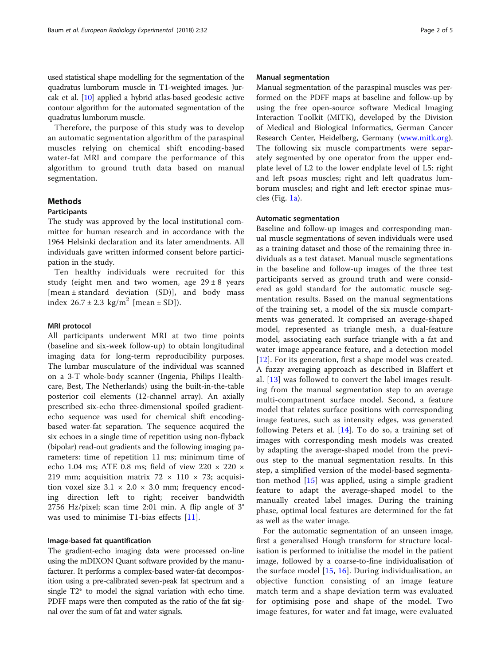used statistical shape modelling for the segmentation of the quadratus lumborum muscle in T1-weighted images. Jurcak et al. [[10](#page-4-0)] applied a hybrid atlas-based geodesic active contour algorithm for the automated segmentation of the quadratus lumborum muscle.

Therefore, the purpose of this study was to develop an automatic segmentation algorithm of the paraspinal muscles relying on chemical shift encoding-based water-fat MRI and compare the performance of this algorithm to ground truth data based on manual segmentation.

# **Methods**

# Participants

The study was approved by the local institutional committee for human research and in accordance with the 1964 Helsinki declaration and its later amendments. All individuals gave written informed consent before participation in the study.

Ten healthy individuals were recruited for this study (eight men and two women, age  $29 \pm 8$  years [mean ± standard deviation (SD)], and body mass index  $26.7 \pm 2.3$  kg/m<sup>2</sup> [mean  $\pm$  SD]).

## MRI protocol

All participants underwent MRI at two time points (baseline and six-week follow-up) to obtain longitudinal imaging data for long-term reproducibility purposes. The lumbar musculature of the individual was scanned on a 3-T whole-body scanner (Ingenia, Philips Healthcare, Best, The Netherlands) using the built-in-the-table posterior coil elements (12-channel array). An axially prescribed six-echo three-dimensional spoiled gradientecho sequence was used for chemical shift encodingbased water-fat separation. The sequence acquired the six echoes in a single time of repetition using non-flyback (bipolar) read-out gradients and the following imaging parameters: time of repetition 11 ms; minimum time of echo 1.04 ms;  $\triangle$ TE 0.8 ms; field of view 220  $\times$  220  $\times$ 219 mm; acquisition matrix  $72 \times 110 \times 73$ ; acquisition voxel size  $3.1 \times 2.0 \times 3.0$  mm; frequency encoding direction left to right; receiver bandwidth 2756 Hz/pixel; scan time 2:01 min. A flip angle of 3° was used to minimise T1-bias effects [[11\]](#page-4-0).

## Image-based fat quantification

The gradient-echo imaging data were processed on-line using the mDIXON Quant software provided by the manufacturer. It performs a complex-based water-fat decomposition using a pre-calibrated seven-peak fat spectrum and a single T2\* to model the signal variation with echo time. PDFF maps were then computed as the ratio of the fat signal over the sum of fat and water signals.

## Manual segmentation

Manual segmentation of the paraspinal muscles was performed on the PDFF maps at baseline and follow-up by using the free open-source software Medical Imaging Interaction Toolkit (MITK), developed by the Division of Medical and Biological Informatics, German Cancer Research Center, Heidelberg, Germany [\(www.mitk.org](http://www.mitk.org)). The following six muscle compartments were separately segmented by one operator from the upper endplate level of L2 to the lower endplate level of L5: right and left psoas muscles; right and left quadratus lumborum muscles; and right and left erector spinae muscles (Fig.  $1a$ ).

## Automatic segmentation

Baseline and follow-up images and corresponding manual muscle segmentations of seven individuals were used as a training dataset and those of the remaining three individuals as a test dataset. Manual muscle segmentations in the baseline and follow-up images of the three test participants served as ground truth and were considered as gold standard for the automatic muscle segmentation results. Based on the manual segmentations of the training set, a model of the six muscle compartments was generated. It comprised an average-shaped model, represented as triangle mesh, a dual-feature model, associating each surface triangle with a fat and water image appearance feature, and a detection model [[12\]](#page-4-0). For its generation, first a shape model was created. A fuzzy averaging approach as described in Blaffert et al. [[13\]](#page-4-0) was followed to convert the label images resulting from the manual segmentation step to an average multi-compartment surface model. Second, a feature model that relates surface positions with corresponding image features, such as intensity edges, was generated following Peters et al. [[14\]](#page-4-0). To do so, a training set of images with corresponding mesh models was created by adapting the average-shaped model from the previous step to the manual segmentation results. In this step, a simplified version of the model-based segmentation method [[15\]](#page-4-0) was applied, using a simple gradient feature to adapt the average-shaped model to the manually created label images. During the training phase, optimal local features are determined for the fat as well as the water image.

For the automatic segmentation of an unseen image, first a generalised Hough transform for structure localisation is performed to initialise the model in the patient image, followed by a coarse-to-fine individualisation of the surface model [[15,](#page-4-0) [16](#page-4-0)]. During individualisation, an objective function consisting of an image feature match term and a shape deviation term was evaluated for optimising pose and shape of the model. Two image features, for water and fat image, were evaluated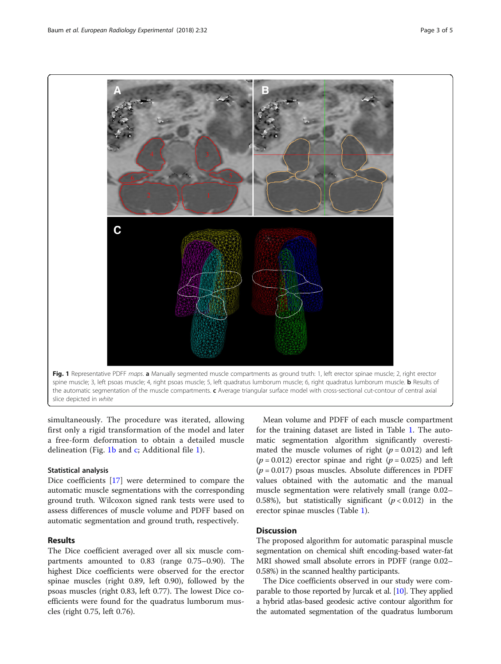<span id="page-2-0"></span>

simultaneously. The procedure was iterated, allowing first only a rigid transformation of the model and later a free-form deformation to obtain a detailed muscle delineation (Fig. 1b and c; Additional file [1\)](#page-3-0).

# Statistical analysis

Dice coefficients [\[17](#page-4-0)] were determined to compare the automatic muscle segmentations with the corresponding ground truth. Wilcoxon signed rank tests were used to assess differences of muscle volume and PDFF based on automatic segmentation and ground truth, respectively.

# Results

The Dice coefficient averaged over all six muscle compartments amounted to 0.83 (range 0.75–0.90). The highest Dice coefficients were observed for the erector spinae muscles (right 0.89, left 0.90), followed by the psoas muscles (right 0.83, left 0.77). The lowest Dice coefficients were found for the quadratus lumborum muscles (right 0.75, left 0.76).

Mean volume and PDFF of each muscle compartment for the training dataset are listed in Table [1.](#page-3-0) The automatic segmentation algorithm significantly overestimated the muscle volumes of right  $(p = 0.012)$  and left  $(p = 0.012)$  erector spinae and right  $(p = 0.025)$  and left  $(p = 0.017)$  psoas muscles. Absolute differences in PDFF values obtained with the automatic and the manual muscle segmentation were relatively small (range 0.02– 0.58%), but statistically significant  $(p < 0.012)$  in the erector spinae muscles (Table [1\)](#page-3-0).

# **Discussion**

The proposed algorithm for automatic paraspinal muscle segmentation on chemical shift encoding-based water-fat MRI showed small absolute errors in PDFF (range 0.02– 0.58%) in the scanned healthy participants.

The Dice coefficients observed in our study were comparable to those reported by Jurcak et al. [[10](#page-4-0)]. They applied a hybrid atlas-based geodesic active contour algorithm for the automated segmentation of the quadratus lumborum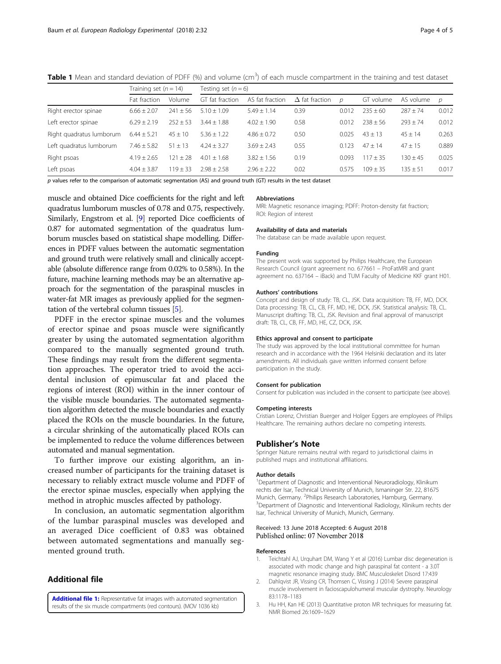|                          | Training set $(n = 14)$ |              | Testing set $(n=6)$ |                 |                       |       |              |              |               |
|--------------------------|-------------------------|--------------|---------------------|-----------------|-----------------------|-------|--------------|--------------|---------------|
|                          | Fat fraction            | Volume       | GT fat fraction     | AS fat fraction | $\Delta$ fat fraction | D     | GT volume    | AS volume    | $\mathcal{D}$ |
| Right erector spinae     | $6.66 \pm 2.07$         | $241 \pm 56$ | $5.10 + 1.09$       | $5.49 \pm 1.14$ | 0.39                  | 0.01  | $235 + 60$   | $287 \pm 74$ | 0.012         |
| Left erector spinae      | $6.29 + 2.19$           | $252 + 53$   | $3.44 + 1.88$       | $4.02 \pm 1.90$ | 0.58                  | 0.01  | $238 + 56$   | $793 + 74$   | 0.012         |
| Right guadratus lumborum | $6.44 \pm 5.21$         | $45 + 10$    | $5.36 + 1.22$       | $4.86 \pm 0.72$ | 0.50                  | 0.025 | $43 + 13$    | $45 \pm 14$  | 0.263         |
| Left quadratus lumborum  | $7.46 \pm 5.82$         | $51 \pm 13$  | $4.24 + 3.27$       | $3.69 + 2.43$   | 0.55                  | 0.123 | $47 + 14$    | $47 + 15$    | 0.889         |
| Right psoas              | $4.19 + 2.65$           | $121 + 28$   | $4.01 + 1.68$       | $3.82 \pm 1.56$ | 0.19                  | 0.093 | $117 + 35$   | $130 + 45$   | 0.025         |
| Left psoas               | $4.04 + 3.87$           | $119 \pm 33$ | $2.98 \pm 2.58$     | $2.96 + 2.22$   | 0.02                  | 0.575 | $109 \pm 35$ | $135 \pm 51$ | 0.017         |
|                          |                         |              |                     |                 |                       |       |              |              |               |

<span id="page-3-0"></span>Table 1 Mean and standard deviation of PDFF (%) and volume (cm<sup>3</sup>) of each muscle compartment in the training and test dataset

 $p$  values refer to the comparison of automatic segmentation (AS) and ground truth (GT) results in the test dataset

muscle and obtained Dice coefficients for the right and left quadratus lumborum muscles of 0.78 and 0.75, respectively. Similarly, Engstrom et al. [\[9\]](#page-4-0) reported Dice coefficients of 0.87 for automated segmentation of the quadratus lumborum muscles based on statistical shape modelling. Differences in PDFF values between the automatic segmentation and ground truth were relatively small and clinically acceptable (absolute difference range from 0.02% to 0.58%). In the future, machine learning methods may be an alternative approach for the segmentation of the paraspinal muscles in water-fat MR images as previously applied for the segmentation of the vertebral column tissues [[5](#page-4-0)].

PDFF in the erector spinae muscles and the volumes of erector spinae and psoas muscle were significantly greater by using the automated segmentation algorithm compared to the manually segmented ground truth. These findings may result from the different segmentation approaches. The operator tried to avoid the accidental inclusion of epimuscular fat and placed the regions of interest (ROI) within in the inner contour of the visible muscle boundaries. The automated segmentation algorithm detected the muscle boundaries and exactly placed the ROIs on the muscle boundaries. In the future, a circular shrinking of the automatically placed ROIs can be implemented to reduce the volume differences between automated and manual segmentation.

To further improve our existing algorithm, an increased number of participants for the training dataset is necessary to reliably extract muscle volume and PDFF of the erector spinae muscles, especially when applying the method in atrophic muscles affected by pathology.

In conclusion, an automatic segmentation algorithm of the lumbar paraspinal muscles was developed and an averaged Dice coefficient of 0.83 was obtained between automated segmentations and manually segmented ground truth.

# Additional file

[Additional file 1:](https://doi.org/10.1186/s41747-018-0065-2) Representative fat images with automated segmentation results of the six muscle compartments (red contours). (MOV 1036 kb)

#### Abbreviations

MRI: Magnetic resonance imaging; PDFF: Proton-density fat fraction; ROI: Region of interest

#### Availability of data and materials

The database can be made available upon request.

#### Funding

The present work was supported by Philips Healthcare, the European Research Council (grant agreement no. 677661 – ProFatMRI and grant agreement no. 637164 – iBack) and TUM Faculty of Medicine KKF grant H01.

## Authors' contributions

Concept and design of study: TB, CL, JSK. Data acquisition: TB, FF, MD, DCK. Data processing: TB, CL, CB, FF, MD, HE, DCK, JSK. Statistical analysis: TB, CL. Manuscript drafting: TB, CL, JSK. Revision and final approval of manuscript draft: TB, CL, CB, FF, MD, HE, CZ, DCK, JSK.

#### Ethics approval and consent to participate

The study was approved by the local institutional committee for human research and in accordance with the 1964 Helsinki declaration and its later amendments. All individuals gave written informed consent before participation in the study.

#### Consent for publication

Consent for publication was included in the consent to participate (see above).

#### Competing interests

Cristian Lorenz, Christian Buerger and Holger Eggers are employees of Philips Healthcare. The remaining authors declare no competing interests.

## Publisher's Note

Springer Nature remains neutral with regard to jurisdictional claims in published maps and institutional affiliations.

#### Author details

<sup>1</sup>Department of Diagnostic and Interventional Neuroradiology, Klinikum rechts der Isar, Technical University of Munich, Ismaninger Str. 22, 81675 Munich, Germany. <sup>2</sup>Philips Research Laboratories, Hamburg, Germany.<br><sup>3</sup>Department of Diagnostic and Intensectional Padiology. Klinikum rec Department of Diagnostic and Interventional Radiology, Klinikum rechts der Isar, Technical University of Munich, Munich, Germany.

## Received: 13 June 2018 Accepted: 6 August 2018 Published online: 07 November 2018

## References

- 1. Teichtahl AJ, Urquhart DM, Wang Y et al (2016) Lumbar disc degeneration is associated with modic change and high paraspinal fat content - a 3.0T magnetic resonance imaging study. BMC Musculoskelet Disord 17:439
- 2. Dahlqvist JR, Vissing CR, Thomsen C, Vissing J (2014) Severe paraspinal muscle involvement in facioscapulohumeral muscular dystrophy. Neurology 83:1178–1183
- 3. Hu HH, Kan HE (2013) Quantitative proton MR techniques for measuring fat. NMR Biomed 26:1609–1629